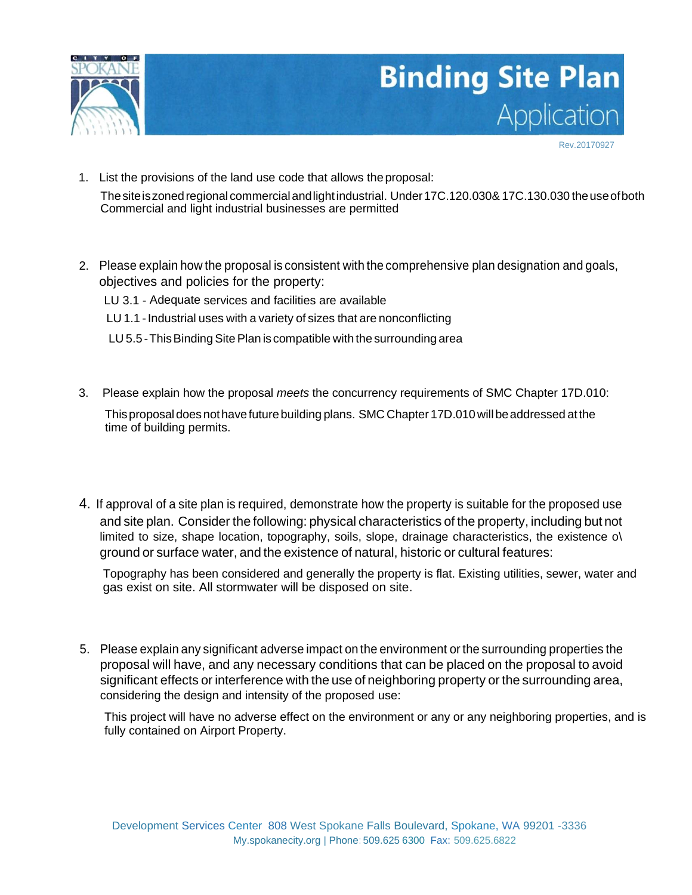

## **Binding Site Plan** Application

Rev.20170927

- 1. List the provisions of the land use code that allows theproposal: Thesiteiszonedregional commercialandlightindustrial. Under17C.120.030& 17C.130.030 theuseofboth Commercial and light industrial businesses are permitted
- 2. Please explain how the proposal is consistent with the comprehensive plan designation and goals, objectives and policies for the property:
	- LU 3.1 Adequate services and facilities are available
	- LU 1.1 Industrial uses with a variety of sizes that are nonconflicting
	- LU 5.5 This Binding Site Plan is compatible with the surrounding area
- 3. Please explain how the proposal *meets* the concurrency requirements of SMC Chapter 17D.010:

Thisproposaldoesnothavefuturebuilding plans. SMC Chapter 17D.010willbeaddressed atthe time of building permits.

4. If approval of a site plan is required, demonstrate how the property is suitable for the proposed use and site plan. Consider the following: physical characteristics of the property, including but not limited to size, shape location, topography, soils, slope, drainage characteristics, the existence o\ ground or surface water, and the existence of natural, historic or cultural features:

Topography has been considered and generally the property is flat. Existing utilities, sewer, water and gas exist on site. All stormwater will be disposed on site.

5. Please explain any significant adverse impact on the environment or the surrounding properties the proposal will have, and any necessary conditions that can be placed on the proposal to avoid significant effects or interference with the use of neighboring property or the surrounding area, considering the design and intensity of the proposed use:

This project will have no adverse effect on the environment or any or any neighboring properties, and is fully contained on Airport Property.